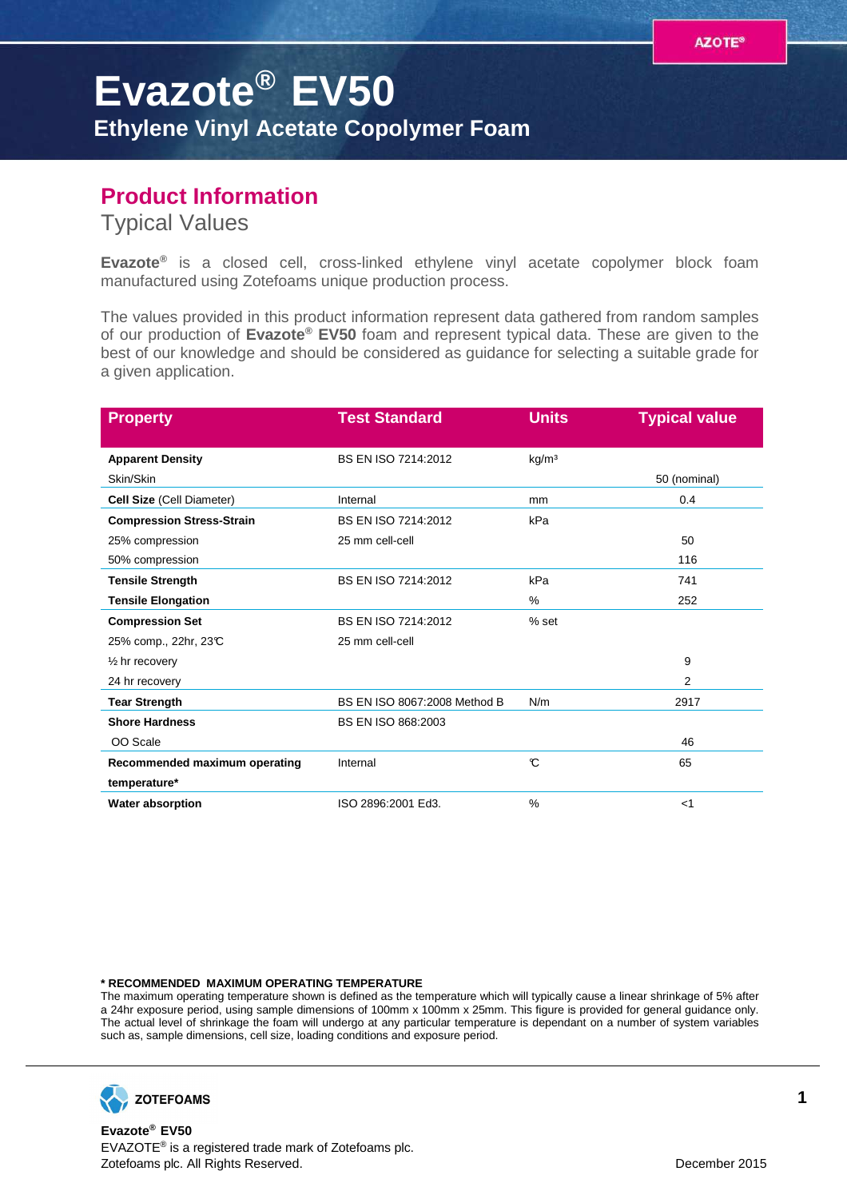## **Evazote® EV50 Ethylene Vinyl Acetate Copolymer Foam**

## **Product Information**

Typical Values

**Evazote®** is a closed cell, cross-linked ethylene vinyl acetate copolymer block foam manufactured using Zotefoams unique production process.

The values provided in this product information represent data gathered from random samples of our production of **Evazote® EV50** foam and represent typical data. These are given to the best of our knowledge and should be considered as guidance for selecting a suitable grade for a given application.

| <b>Property</b>                  | <b>Test Standard</b>         | <b>Units</b>      | <b>Typical value</b> |
|----------------------------------|------------------------------|-------------------|----------------------|
| <b>Apparent Density</b>          | BS EN ISO 7214:2012          | kg/m <sup>3</sup> |                      |
| Skin/Skin                        |                              |                   | 50 (nominal)         |
| Cell Size (Cell Diameter)        | Internal                     | mm                | 0.4                  |
| <b>Compression Stress-Strain</b> | BS EN ISO 7214:2012          | kPa               |                      |
| 25% compression                  | 25 mm cell-cell              |                   | 50                   |
| 50% compression                  |                              |                   | 116                  |
| <b>Tensile Strength</b>          | BS EN ISO 7214:2012          | kPa               | 741                  |
| <b>Tensile Elongation</b>        |                              | %                 | 252                  |
| <b>Compression Set</b>           | BS EN ISO 7214:2012          | $%$ set           |                      |
| 25% comp., 22hr, 23℃             | 25 mm cell-cell              |                   |                      |
| $\frac{1}{2}$ hr recovery        |                              |                   | 9                    |
| 24 hr recovery                   |                              |                   | 2                    |
| <b>Tear Strength</b>             | BS EN ISO 8067:2008 Method B | N/m               | 2917                 |
| <b>Shore Hardness</b>            | BS EN ISO 868:2003           |                   |                      |
| OO Scale                         |                              |                   | 46                   |
| Recommended maximum operating    | Internal                     | C                 | 65                   |
| temperature*                     |                              |                   |                      |
| <b>Water absorption</b>          | ISO 2896:2001 Ed3.           | $\frac{0}{0}$     | $<$ 1                |

## **\* RECOMMENDED MAXIMUM OPERATING TEMPERATURE**

The maximum operating temperature shown is defined as the temperature which will typically cause a linear shrinkage of 5% after a 24hr exposure period, using sample dimensions of 100mm x 100mm x 25mm. This figure is provided for general guidance only. The actual level of shrinkage the foam will undergo at any particular temperature is dependant on a number of system variables such as, sample dimensions, cell size, loading conditions and exposure period.



**Evazote® EV50** EVAZOTE® is a registered trade mark of Zotefoams plc. Zotefoams plc. All Rights Reserved. December 2015